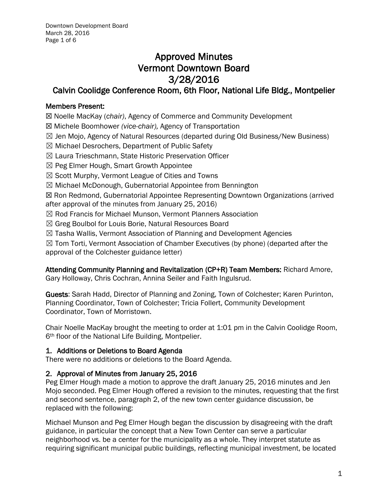# Approved Minutes Vermont Downtown Board 3/28/2016

## Calvin Coolidge Conference Room, 6th Floor, National Life Bldg., Montpelier

## Members Present:

☒ Noelle MacKay (*chair)*, Agency of Commerce and Community Development

☒ Michele Boomhower *(vice-chair),* Agency of Transportation

- $\boxtimes$  Jen Mojo, Agency of Natural Resources (departed during Old Business/New Business)
- ☒ Michael Desrochers, Department of Public Safety
- ☒ Laura Trieschmann, State Historic Preservation Officer
- $\boxtimes$  Peg Elmer Hough, Smart Growth Appointee
- $\boxtimes$  Scott Murphy, Vermont League of Cities and Towns
- ☒ Michael McDonough, Gubernatorial Appointee from Bennington

☒ Ron Redmond, Gubernatorial Appointee Representing Downtown Organizations (arrived after approval of the minutes from January 25, 2016)

- ☒ Rod Francis for Michael Munson, Vermont Planners Association
- ☒ Greg Boulbol for Louis Borie, Natural Resources Board
- $\boxtimes$  Tasha Wallis, Vermont Association of Planning and Development Agencies

 $\boxtimes$  Tom Torti, Vermont Association of Chamber Executives (by phone) (departed after the approval of the Colchester guidance letter)

Attending Community Planning and Revitalization (CP+R) Team Members: Richard Amore, Gary Holloway, Chris Cochran, Annina Seiler and Faith Ingulsrud.

Guests: Sarah Hadd, Director of Planning and Zoning, Town of Colchester; Karen Purinton, Planning Coordinator, Town of Colchester; Tricia Follert, Community Development

Coordinator, Town of Morristown.

Chair Noelle MacKay brought the meeting to order at 1:01 pm in the Calvin Coolidge Room, 6th floor of the National Life Building, Montpelier.

## 1. Additions or Deletions to Board Agenda

There were no additions or deletions to the Board Agenda.

## 2. Approval of Minutes from January 25, 2016

Peg Elmer Hough made a motion to approve the draft January 25, 2016 minutes and Jen Mojo seconded. Peg Elmer Hough offered a revision to the minutes, requesting that the first and second sentence, paragraph 2, of the new town center guidance discussion, be replaced with the following:

Michael Munson and Peg Elmer Hough began the discussion by disagreeing with the draft guidance, in particular the concept that a New Town Center can serve a particular neighborhood vs. be a center for the municipality as a whole. They interpret statute as requiring significant municipal public buildings, reflecting municipal investment, be located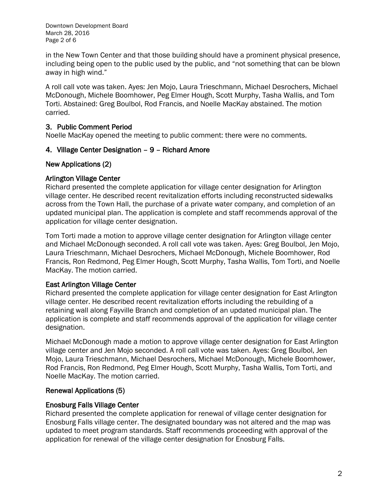Downtown Development Board March 28, 2016 Page 2 of 6

in the New Town Center and that those building should have a prominent physical presence, including being open to the public used by the public, and "not something that can be blown away in high wind."

A roll call vote was taken. Ayes: Jen Mojo, Laura Trieschmann, Michael Desrochers, Michael McDonough, Michele Boomhower, Peg Elmer Hough, Scott Murphy, Tasha Wallis, and Tom Torti. Abstained: Greg Boulbol, Rod Francis, and Noelle MacKay abstained. The motion carried.

## 3. Public Comment Period

Noelle MacKay opened the meeting to public comment: there were no comments.

## 4. Village Center Designation – 9 – Richard Amore

## New Applications (2)

## Arlington Village Center

Richard presented the complete application for village center designation for Arlington village center. He described recent revitalization efforts including reconstructed sidewalks across from the Town Hall, the purchase of a private water company, and completion of an updated municipal plan. The application is complete and staff recommends approval of the application for village center designation.

Tom Torti made a motion to approve village center designation for Arlington village center and Michael McDonough seconded. A roll call vote was taken. Ayes: Greg Boulbol, Jen Mojo, Laura Trieschmann, Michael Desrochers, Michael McDonough, Michele Boomhower, Rod Francis, Ron Redmond, Peg Elmer Hough, Scott Murphy, Tasha Wallis, Tom Torti, and Noelle MacKay. The motion carried.

## East Arlington Village Center

Richard presented the complete application for village center designation for East Arlington village center. He described recent revitalization efforts including the rebuilding of a retaining wall along Fayville Branch and completion of an updated municipal plan. The application is complete and staff recommends approval of the application for village center designation.

Michael McDonough made a motion to approve village center designation for East Arlington village center and Jen Mojo seconded. A roll call vote was taken. Ayes: Greg Boulbol, Jen Mojo, Laura Trieschmann, Michael Desrochers, Michael McDonough, Michele Boomhower, Rod Francis, Ron Redmond, Peg Elmer Hough, Scott Murphy, Tasha Wallis, Tom Torti, and Noelle MacKay. The motion carried.

## Renewal Applications (5)

## Enosburg Falls Village Center

Richard presented the complete application for renewal of village center designation for Enosburg Falls village center. The designated boundary was not altered and the map was updated to meet program standards. Staff recommends proceeding with approval of the application for renewal of the village center designation for Enosburg Falls.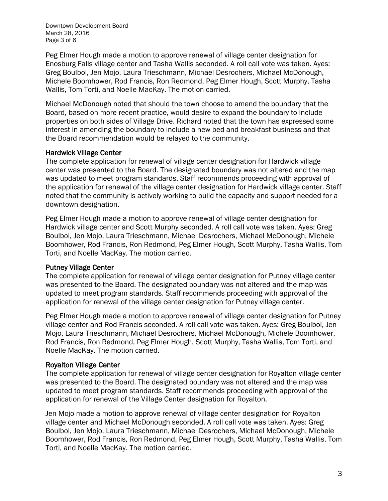Downtown Development Board March 28, 2016 Page 3 of 6

Peg Elmer Hough made a motion to approve renewal of village center designation for Enosburg Falls village center and Tasha Wallis seconded. A roll call vote was taken. Ayes: Greg Boulbol, Jen Mojo, Laura Trieschmann, Michael Desrochers, Michael McDonough, Michele Boomhower, Rod Francis, Ron Redmond, Peg Elmer Hough, Scott Murphy, Tasha Wallis, Tom Torti, and Noelle MacKay. The motion carried.

Michael McDonough noted that should the town choose to amend the boundary that the Board, based on more recent practice, would desire to expand the boundary to include properties on both sides of Village Drive. Richard noted that the town has expressed some interest in amending the boundary to include a new bed and breakfast business and that the Board recommendation would be relayed to the community.

#### Hardwick Village Center

The complete application for renewal of village center designation for Hardwick village center was presented to the Board. The designated boundary was not altered and the map was updated to meet program standards. Staff recommends proceeding with approval of the application for renewal of the village center designation for Hardwick village center. Staff noted that the community is actively working to build the capacity and support needed for a downtown designation.

Peg Elmer Hough made a motion to approve renewal of village center designation for Hardwick village center and Scott Murphy seconded. A roll call vote was taken. Ayes: Greg Boulbol, Jen Mojo, Laura Trieschmann, Michael Desrochers, Michael McDonough, Michele Boomhower, Rod Francis, Ron Redmond, Peg Elmer Hough, Scott Murphy, Tasha Wallis, Tom Torti, and Noelle MacKay. The motion carried.

#### Putney Village Center

The complete application for renewal of village center designation for Putney village center was presented to the Board. The designated boundary was not altered and the map was updated to meet program standards. Staff recommends proceeding with approval of the application for renewal of the village center designation for Putney village center.

Peg Elmer Hough made a motion to approve renewal of village center designation for Putney village center and Rod Francis seconded. A roll call vote was taken. Ayes: Greg Boulbol, Jen Mojo, Laura Trieschmann, Michael Desrochers, Michael McDonough, Michele Boomhower, Rod Francis, Ron Redmond, Peg Elmer Hough, Scott Murphy, Tasha Wallis, Tom Torti, and Noelle MacKay. The motion carried.

## Royalton Village Center

The complete application for renewal of village center designation for Royalton village center was presented to the Board. The designated boundary was not altered and the map was updated to meet program standards. Staff recommends proceeding with approval of the application for renewal of the Village Center designation for Royalton.

Jen Mojo made a motion to approve renewal of village center designation for Royalton village center and Michael McDonough seconded. A roll call vote was taken. Ayes: Greg Boulbol, Jen Mojo, Laura Trieschmann, Michael Desrochers, Michael McDonough, Michele Boomhower, Rod Francis, Ron Redmond, Peg Elmer Hough, Scott Murphy, Tasha Wallis, Tom Torti, and Noelle MacKay. The motion carried.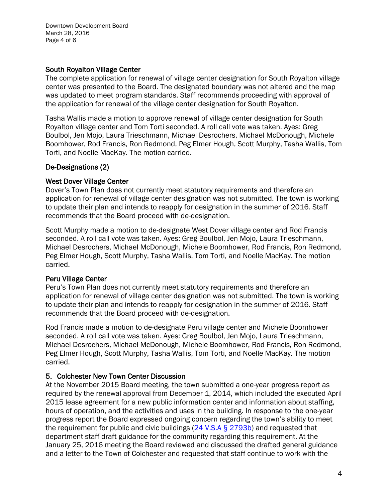Downtown Development Board March 28, 2016 Page 4 of 6

## South Royalton Village Center

The complete application for renewal of village center designation for South Royalton village center was presented to the Board. The designated boundary was not altered and the map was updated to meet program standards. Staff recommends proceeding with approval of the application for renewal of the village center designation for South Royalton.

Tasha Wallis made a motion to approve renewal of village center designation for South Royalton village center and Tom Torti seconded. A roll call vote was taken. Ayes: Greg Boulbol, Jen Mojo, Laura Trieschmann, Michael Desrochers, Michael McDonough, Michele Boomhower, Rod Francis, Ron Redmond, Peg Elmer Hough, Scott Murphy, Tasha Wallis, Tom Torti, and Noelle MacKay. The motion carried.

## De-Designations (2)

## West Dover Village Center

Dover's Town Plan does not currently meet statutory requirements and therefore an application for renewal of village center designation was not submitted. The town is working to update their plan and intends to reapply for designation in the summer of 2016. Staff recommends that the Board proceed with de-designation.

Scott Murphy made a motion to de-designate West Dover village center and Rod Francis seconded. A roll call vote was taken. Ayes: Greg Boulbol, Jen Mojo, Laura Trieschmann, Michael Desrochers, Michael McDonough, Michele Boomhower, Rod Francis, Ron Redmond, Peg Elmer Hough, Scott Murphy, Tasha Wallis, Tom Torti, and Noelle MacKay. The motion carried.

## Peru Village Center

Peru's Town Plan does not currently meet statutory requirements and therefore an application for renewal of village center designation was not submitted. The town is working to update their plan and intends to reapply for designation in the summer of 2016. Staff recommends that the Board proceed with de-designation.

Rod Francis made a motion to de-designate Peru village center and Michele Boomhower seconded. A roll call vote was taken. Ayes: Greg Boulbol, Jen Mojo, Laura Trieschmann, Michael Desrochers, Michael McDonough, Michele Boomhower, Rod Francis, Ron Redmond, Peg Elmer Hough, Scott Murphy, Tasha Wallis, Tom Torti, and Noelle MacKay. The motion carried.

## 5. Colchester New Town Center Discussion

At the November 2015 Board meeting, the town submitted a one-year progress report as required by the renewal approval from December 1, 2014, which included the executed April 2015 lease agreement for a new public information center and information about staffing, hours of operation, and the activities and uses in the building. In response to the one-year progress report the Board expressed ongoing concern regarding the town's ability to meet the requirement for public and civic buildings  $(24 \text{ V.S.A} \text{S} 2793b)$  and requested that department staff draft guidance for the community regarding this requirement. At the January 25, 2016 meeting the Board reviewed and discussed the drafted general guidance and a letter to the Town of Colchester and requested that staff continue to work with the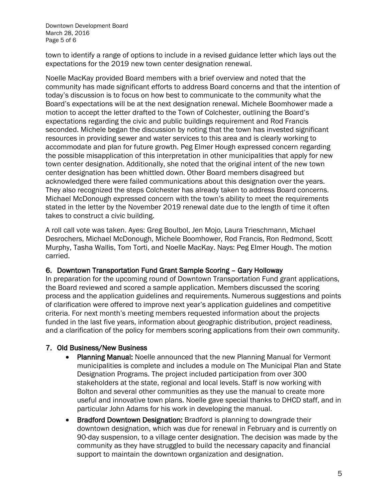Downtown Development Board March 28, 2016 Page 5 of 6

town to identify a range of options to include in a revised guidance letter which lays out the expectations for the 2019 new town center designation renewal.

Noelle MacKay provided Board members with a brief overview and noted that the community has made significant efforts to address Board concerns and that the intention of today's discussion is to focus on how best to communicate to the community what the Board's expectations will be at the next designation renewal. Michele Boomhower made a motion to accept the letter drafted to the Town of Colchester, outlining the Board's expectations regarding the civic and public buildings requirement and Rod Francis seconded. Michele began the discussion by noting that the town has invested significant resources in providing sewer and water services to this area and is clearly working to accommodate and plan for future growth. Peg Elmer Hough expressed concern regarding the possible misapplication of this interpretation in other municipalities that apply for new town center designation. Additionally, she noted that the original intent of the new town center designation has been whittled down. Other Board members disagreed but acknowledged there were failed communications about this designation over the years. They also recognized the steps Colchester has already taken to address Board concerns. Michael McDonough expressed concern with the town's ability to meet the requirements stated in the letter by the November 2019 renewal date due to the length of time it often takes to construct a civic building.

A roll call vote was taken. Ayes: Greg Boulbol, Jen Mojo, Laura Trieschmann, Michael Desrochers, Michael McDonough, Michele Boomhower, Rod Francis, Ron Redmond, Scott Murphy, Tasha Wallis, Tom Torti, and Noelle MacKay. Nays: Peg Elmer Hough. The motion carried.

## 6. Downtown Transportation Fund Grant Sample Scoring – Gary Holloway

In preparation for the upcoming round of Downtown Transportation Fund grant applications, the Board reviewed and scored a sample application. Members discussed the scoring process and the application guidelines and requirements. Numerous suggestions and points of clarification were offered to improve next year's application guidelines and competitive criteria. For next month's meeting members requested information about the projects funded in the last five years, information about geographic distribution, project readiness, and a clarification of the policy for members scoring applications from their own community.

#### 7. Old Business/New Business

- Planning Manual: Noelle announced that the new Planning Manual for Vermont municipalities is complete and includes a module on [The Municipal Plan](http://accd.vermont.gov/sites/accd/files/PlanningManualModule1low.pdf) and [State](http://accd.vermont.gov/sites/accd/files/PlanningManualModule2low.pdf)  [Designation Programs.](http://accd.vermont.gov/sites/accd/files/PlanningManualModule2low.pdf) The project included participation from over 300 stakeholders at the state, regional and local levels. Staff is now working with Bolton and several other communities as they use the manual to create more useful and innovative town plans. Noelle gave special thanks to DHCD staff, and in particular John Adams for his work in developing the manual.
- Bradford Downtown Designation: Bradford is planning to downgrade their downtown designation, which was due for renewal in February and is currently on 90-day suspension, to a village center designation. The decision was made by the community as they have struggled to build the necessary capacity and financial support to maintain the downtown organization and designation.